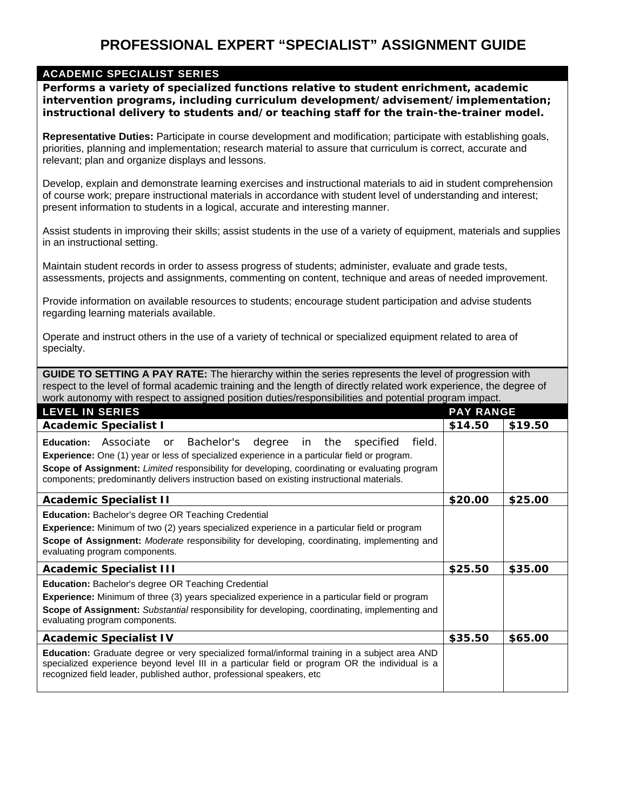## **PROFESSIONAL EXPERT "SPECIALIST" ASSIGNMENT GUIDE**

## ACADEMIC SPECIALIST SERIES

**Performs a variety of specialized functions relative to student enrichment, academic intervention programs, including curriculum development/advisement/implementation; instructional delivery to students and/or teaching staff for the train-the-trainer model.** 

**Representative Duties:** Participate in course development and modification; participate with establishing goals, priorities, planning and implementation; research material to assure that curriculum is correct, accurate and relevant; plan and organize displays and lessons.

Develop, explain and demonstrate learning exercises and instructional materials to aid in student comprehension of course work; prepare instructional materials in accordance with student level of understanding and interest; present information to students in a logical, accurate and interesting manner.

Assist students in improving their skills; assist students in the use of a variety of equipment, materials and supplies in an instructional setting.

Maintain student records in order to assess progress of students; administer, evaluate and grade tests, assessments, projects and assignments, commenting on content, technique and areas of needed improvement.

Provide information on available resources to students; encourage student participation and advise students regarding learning materials available.

Operate and instruct others in the use of a variety of technical or specialized equipment related to area of specialty.

**GUIDE TO SETTING A PAY RATE:** The hierarchy within the series represents the level of progression with respect to the level of formal academic training and the length of directly related work experience, the degree of work autonomy with respect to assigned position duties/responsibilities and potential program impact.

| <b>LEVEL IN SERIES</b>                                                                                                                                                                                                                                                                                                                                                                         | <b>PAY RANGE</b> |         |
|------------------------------------------------------------------------------------------------------------------------------------------------------------------------------------------------------------------------------------------------------------------------------------------------------------------------------------------------------------------------------------------------|------------------|---------|
| <b>Academic Specialist I</b>                                                                                                                                                                                                                                                                                                                                                                   | \$14.50          | \$19.50 |
| Bachelor's<br><b>Education:</b> Associate or<br>degree in the specified<br>field.<br><b>Experience:</b> One (1) year or less of specialized experience in a particular field or program.<br><b>Scope of Assignment:</b> Limited responsibility for developing, coordinating or evaluating program<br>components; predominantly delivers instruction based on existing instructional materials. |                  |         |
| <b>Academic Specialist II</b>                                                                                                                                                                                                                                                                                                                                                                  | \$20.00          | \$25.00 |
| Education: Bachelor's degree OR Teaching Credential<br><b>Experience:</b> Minimum of two (2) years specialized experience in a particular field or program<br><b>Scope of Assignment:</b> Moderate responsibility for developing, coordinating, implementing and<br>evaluating program components.                                                                                             |                  |         |
| <b>Academic Specialist III</b>                                                                                                                                                                                                                                                                                                                                                                 | \$25.50          | \$35.00 |
| <b>Education: Bachelor's degree OR Teaching Credential</b><br><b>Experience:</b> Minimum of three (3) years specialized experience in a particular field or program<br><b>Scope of Assignment:</b> Substantial responsibility for developing, coordinating, implementing and<br>evaluating program components.                                                                                 |                  |         |
| <b>Academic Specialist IV</b>                                                                                                                                                                                                                                                                                                                                                                  | \$35.50          | \$65.00 |
| Education: Graduate degree or very specialized formal/informal training in a subject area AND<br>specialized experience beyond level III in a particular field or program OR the individual is a<br>recognized field leader, published author, professional speakers, etc                                                                                                                      |                  |         |